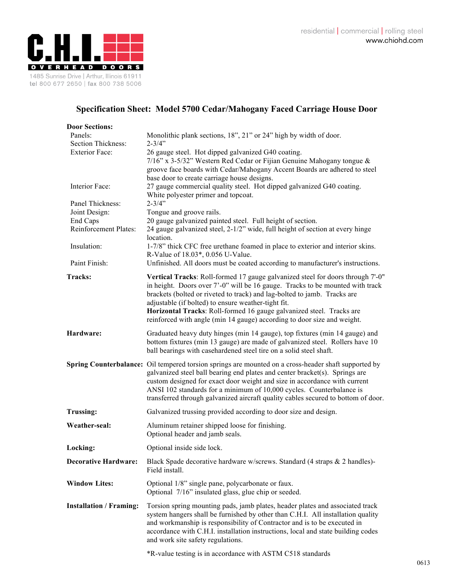

## **Specification Sheet: Model 5700 Cedar/Mahogany Faced Carriage House Door**

| <b>Door Sections:</b>          |                                                                                                                                                                                                                                                                                                                                                                                                                                                       |
|--------------------------------|-------------------------------------------------------------------------------------------------------------------------------------------------------------------------------------------------------------------------------------------------------------------------------------------------------------------------------------------------------------------------------------------------------------------------------------------------------|
| Panels:                        | Monolithic plank sections, 18", 21" or 24" high by width of door.                                                                                                                                                                                                                                                                                                                                                                                     |
| Section Thickness:             | $2 - 3/4$ "                                                                                                                                                                                                                                                                                                                                                                                                                                           |
| <b>Exterior Face:</b>          | 26 gauge steel. Hot dipped galvanized G40 coating.<br>7/16" x 3-5/32" Western Red Cedar or Fijian Genuine Mahogany tongue &<br>groove face boards with Cedar/Mahogany Accent Boards are adhered to steel<br>base door to create carriage house designs.                                                                                                                                                                                               |
| Interior Face:                 | 27 gauge commercial quality steel. Hot dipped galvanized G40 coating.<br>White polyester primer and topcoat.                                                                                                                                                                                                                                                                                                                                          |
| Panel Thickness:               | $2 - 3/4"$                                                                                                                                                                                                                                                                                                                                                                                                                                            |
| Joint Design:                  | Tongue and groove rails.                                                                                                                                                                                                                                                                                                                                                                                                                              |
| End Caps                       | 20 gauge galvanized painted steel. Full height of section.                                                                                                                                                                                                                                                                                                                                                                                            |
| Reinforcement Plates:          | 24 gauge galvanized steel, 2-1/2" wide, full height of section at every hinge<br>location.                                                                                                                                                                                                                                                                                                                                                            |
| Insulation:                    | 1-7/8" thick CFC free urethane foamed in place to exterior and interior skins.<br>R-Value of 18.03*, 0.056 U-Value.                                                                                                                                                                                                                                                                                                                                   |
| Paint Finish:                  | Unfinished. All doors must be coated according to manufacturer's instructions.                                                                                                                                                                                                                                                                                                                                                                        |
| <b>Tracks:</b>                 | Vertical Tracks: Roll-formed 17 gauge galvanized steel for doors through 7'-0"<br>in height. Doors over 7'-0" will be 16 gauge. Tracks to be mounted with track<br>brackets (bolted or riveted to track) and lag-bolted to jamb. Tracks are<br>adjustable (if bolted) to ensure weather-tight fit.<br>Horizontal Tracks: Roll-formed 16 gauge galvanized steel. Tracks are<br>reinforced with angle (min 14 gauge) according to door size and weight. |
| Hardware:                      | Graduated heavy duty hinges (min 14 gauge), top fixtures (min 14 gauge) and<br>bottom fixtures (min 13 gauge) are made of galvanized steel. Rollers have 10<br>ball bearings with casehardened steel tire on a solid steel shaft.                                                                                                                                                                                                                     |
|                                | Spring Counterbalance: Oil tempered torsion springs are mounted on a cross-header shaft supported by<br>galvanized steel ball bearing end plates and center bracket(s). Springs are<br>custom designed for exact door weight and size in accordance with current<br>ANSI 102 standards for a minimum of 10,000 cycles. Counterbalance is<br>transferred through galvanized aircraft quality cables secured to bottom of door.                         |
| <b>Trussing:</b>               | Galvanized trussing provided according to door size and design.                                                                                                                                                                                                                                                                                                                                                                                       |
| Weather-seal:                  | Aluminum retainer shipped loose for finishing.<br>Optional header and jamb seals.                                                                                                                                                                                                                                                                                                                                                                     |
| Locking:                       | Optional inside side lock.                                                                                                                                                                                                                                                                                                                                                                                                                            |
| <b>Decorative Hardware:</b>    | Black Spade decorative hardware w/screws. Standard (4 straps & 2 handles)-<br>Field install.                                                                                                                                                                                                                                                                                                                                                          |
| <b>Window Lites:</b>           | Optional 1/8" single pane, polycarbonate or faux.<br>Optional 7/16" insulated glass, glue chip or seeded.                                                                                                                                                                                                                                                                                                                                             |
| <b>Installation / Framing:</b> | Torsion spring mounting pads, jamb plates, header plates and associated track<br>system hangers shall be furnished by other than C.H.I. All installation quality<br>and workmanship is responsibility of Contractor and is to be executed in<br>accordance with C.H.I. installation instructions, local and state building codes<br>and work site safety regulations.                                                                                 |
|                                | *R-value testing is in accordance with ASTM C518 standards                                                                                                                                                                                                                                                                                                                                                                                            |